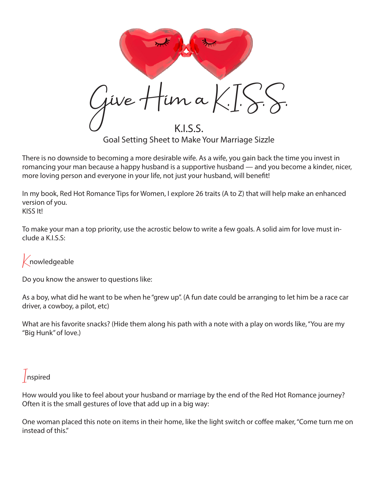in a  $K$ .  $\left[\frac{\zeta}{\zeta}\right]$ K.I.S.S. Goal Setting Sheet to Make Your Marriage Sizzle

There is no downside to becoming a more desirable wife. As a wife, you gain back the time you invest in romancing your man because a happy husband is a supportive husband — and you become a kinder, nicer, more loving person and everyone in your life, not just your husband, will benefit!

In my book, Red Hot Romance Tips for Women, I explore 26 traits (A to Z) that will help make an enhanced version of you. KISS It!

To make your man a top priority, use the acrostic below to write a few goals. A solid aim for love must include a K.I.S.S:

 $K$ nowledgeable

Do you know the answer to questions like:

As a boy, what did he want to be when he "grew up". (A fun date could be arranging to let him be a race car driver, a cowboy, a pilot, etc)

What are his favorite snacks? (Hide them along his path with a note with a play on words like, "You are my "Big Hunk" of love.)

## Inspired

How would you like to feel about your husband or marriage by the end of the Red Hot Romance journey? Often it is the small gestures of love that add up in a big way:

One woman placed this note on items in their home, like the light switch or coffee maker, "Come turn me on instead of this."